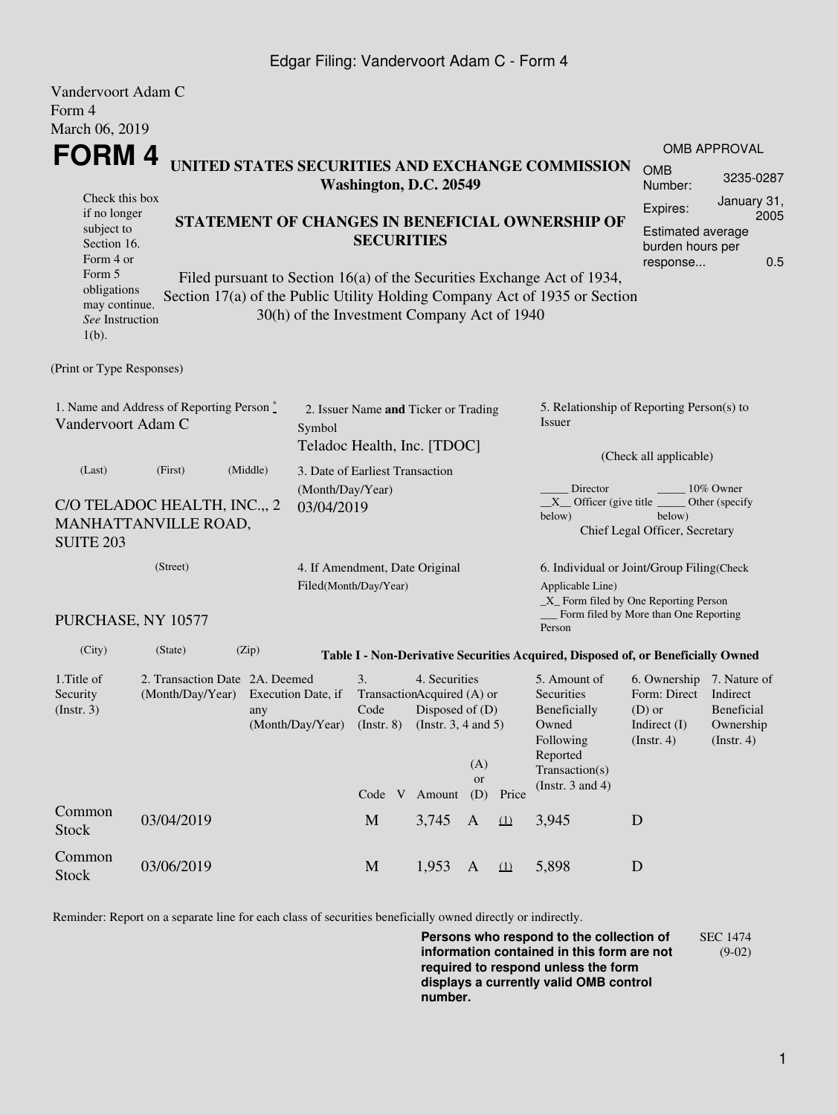### Edgar Filing: Vandervoort Adam C - Form 4

| Vandervoort Adam C                                                                 |                                                                              |                                                                                                                                                                                                      |                        |                                                                                                                         |           |                                                                                                                                                   |          |                                                                                                         |                                                                                    |                                                                |  |  |
|------------------------------------------------------------------------------------|------------------------------------------------------------------------------|------------------------------------------------------------------------------------------------------------------------------------------------------------------------------------------------------|------------------------|-------------------------------------------------------------------------------------------------------------------------|-----------|---------------------------------------------------------------------------------------------------------------------------------------------------|----------|---------------------------------------------------------------------------------------------------------|------------------------------------------------------------------------------------|----------------------------------------------------------------|--|--|
| Form 4                                                                             |                                                                              |                                                                                                                                                                                                      |                        |                                                                                                                         |           |                                                                                                                                                   |          |                                                                                                         |                                                                                    |                                                                |  |  |
| March 06, 2019                                                                     |                                                                              |                                                                                                                                                                                                      |                        |                                                                                                                         |           |                                                                                                                                                   |          |                                                                                                         |                                                                                    |                                                                |  |  |
| FORM 4                                                                             |                                                                              |                                                                                                                                                                                                      |                        |                                                                                                                         |           |                                                                                                                                                   |          | UNITED STATES SECURITIES AND EXCHANGE COMMISSION                                                        |                                                                                    | <b>OMB APPROVAL</b>                                            |  |  |
|                                                                                    |                                                                              |                                                                                                                                                                                                      | Washington, D.C. 20549 | <b>OMB</b><br>Number:                                                                                                   | 3235-0287 |                                                                                                                                                   |          |                                                                                                         |                                                                                    |                                                                |  |  |
| Check this box<br>if no longer<br>subject to<br>Section 16.<br>Form 4 or<br>Form 5 | STATEMENT OF CHANGES IN BENEFICIAL OWNERSHIP OF                              | January 31,<br>Expires:<br>2005<br>Estimated average<br>burden hours per<br>0.5<br>response                                                                                                          |                        |                                                                                                                         |           |                                                                                                                                                   |          |                                                                                                         |                                                                                    |                                                                |  |  |
| obligations<br>may continue.<br>See Instruction<br>$1(b)$ .                        |                                                                              | Filed pursuant to Section 16(a) of the Securities Exchange Act of 1934,<br>Section 17(a) of the Public Utility Holding Company Act of 1935 or Section<br>30(h) of the Investment Company Act of 1940 |                        |                                                                                                                         |           |                                                                                                                                                   |          |                                                                                                         |                                                                                    |                                                                |  |  |
| (Print or Type Responses)                                                          |                                                                              |                                                                                                                                                                                                      |                        |                                                                                                                         |           |                                                                                                                                                   |          |                                                                                                         |                                                                                    |                                                                |  |  |
| 1. Name and Address of Reporting Person*<br>Vandervoort Adam C                     |                                                                              |                                                                                                                                                                                                      | Symbol                 | 2. Issuer Name and Ticker or Trading<br>Teladoc Health, Inc. [TDOC]                                                     |           |                                                                                                                                                   |          | 5. Relationship of Reporting Person(s) to<br>Issuer                                                     |                                                                                    |                                                                |  |  |
| (Last)                                                                             | (First)                                                                      | (Middle)                                                                                                                                                                                             |                        | 3. Date of Earliest Transaction                                                                                         |           |                                                                                                                                                   |          | (Check all applicable)                                                                                  |                                                                                    |                                                                |  |  |
| C/O TELADOC HEALTH, INC.,, 2<br>MANHATTANVILLE ROAD,<br><b>SUITE 203</b>           | (Month/Day/Year)<br>03/04/2019                                               |                                                                                                                                                                                                      |                        |                                                                                                                         |           | Director<br>10% Owner<br>$X$ Officer (give title $\overline{\phantom{a}}$<br>Other (specify<br>below)<br>below)<br>Chief Legal Officer, Secretary |          |                                                                                                         |                                                                                    |                                                                |  |  |
|                                                                                    | (Street)<br>4. If Amendment, Date Original<br>Filed(Month/Day/Year)          |                                                                                                                                                                                                      |                        |                                                                                                                         |           |                                                                                                                                                   |          | 6. Individual or Joint/Group Filing(Check<br>Applicable Line)<br>_X_ Form filed by One Reporting Person |                                                                                    |                                                                |  |  |
| PURCHASE, NY 10577                                                                 |                                                                              |                                                                                                                                                                                                      |                        |                                                                                                                         |           |                                                                                                                                                   |          | Form filed by More than One Reporting<br>Person                                                         |                                                                                    |                                                                |  |  |
| (City)                                                                             | (State)                                                                      | (Zip)                                                                                                                                                                                                |                        |                                                                                                                         |           |                                                                                                                                                   |          | Table I - Non-Derivative Securities Acquired, Disposed of, or Beneficially Owned                        |                                                                                    |                                                                |  |  |
| 1. Title of<br>Security<br>(Insert. 3)                                             | 2. Transaction Date 2A. Deemed<br>(Month/Day/Year) Execution Date, if<br>any |                                                                                                                                                                                                      | (Month/Day/Year)       | 4. Securities<br>3.<br>TransactionAcquired (A) or<br>Code<br>Disposed of $(D)$<br>(Instr. 8) (Instr. 3, 4 and 5)<br>(A) |           |                                                                                                                                                   |          | 5. Amount of<br>Securities<br>Beneficially<br>Owned<br>Following<br>Reported<br>Transaction(s)          | 6. Ownership 7. Nature of<br>Form: Direct<br>(D) or<br>Indirect (I)<br>(Insert. 4) | Indirect<br><b>Beneficial</b><br>Ownership<br>$($ Instr. 4 $)$ |  |  |
|                                                                                    |                                                                              |                                                                                                                                                                                                      |                        | Code V                                                                                                                  | Amount    | <b>or</b><br>(D)                                                                                                                                  | Price    | (Instr. $3$ and $4$ )                                                                                   |                                                                                    |                                                                |  |  |
| Common<br>Stock                                                                    | 03/04/2019                                                                   |                                                                                                                                                                                                      |                        | M                                                                                                                       | 3,745     | $\mathbf{A}$                                                                                                                                      | $\Omega$ | 3,945                                                                                                   | D                                                                                  |                                                                |  |  |
| Common<br><b>Stock</b>                                                             | 03/06/2019                                                                   |                                                                                                                                                                                                      |                        | $\mathbf M$                                                                                                             | 1,953     | A                                                                                                                                                 | $\Omega$ | 5,898                                                                                                   | D                                                                                  |                                                                |  |  |

Reminder: Report on a separate line for each class of securities beneficially owned directly or indirectly.

**Persons who respond to the collection of information contained in this form are not required to respond unless the form displays a currently valid OMB control number.** SEC 1474 (9-02)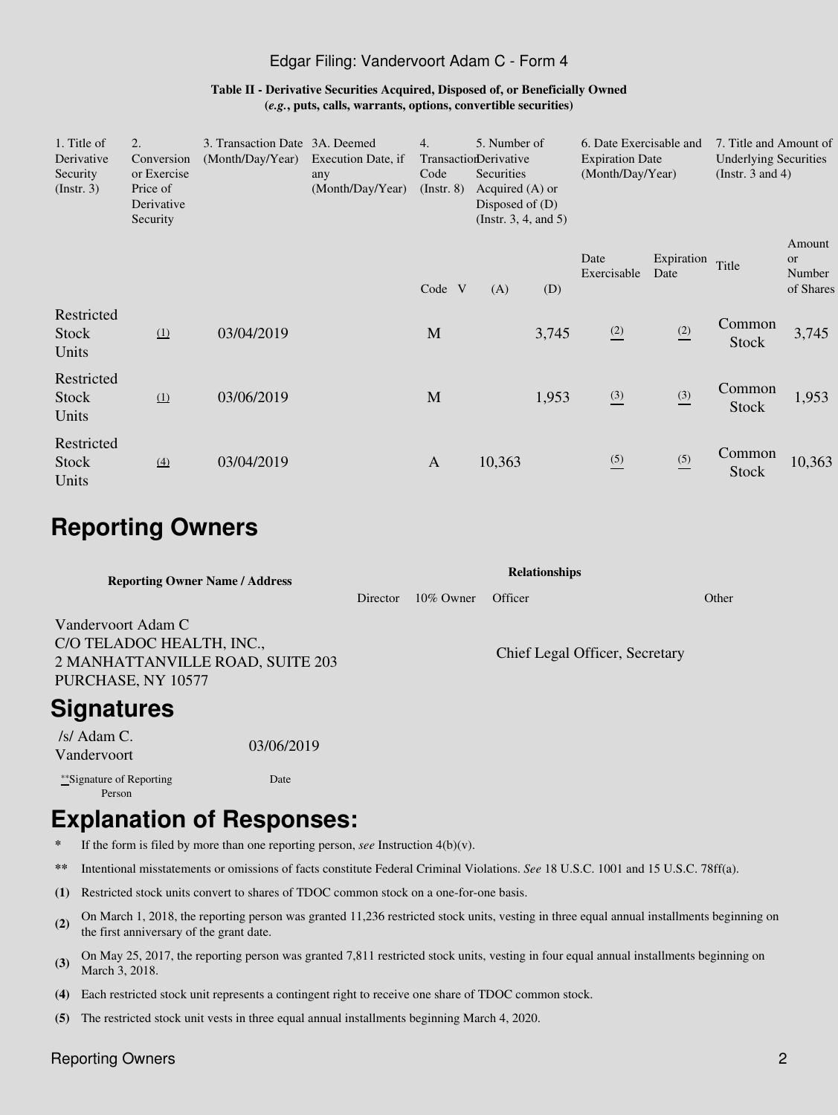### Edgar Filing: Vandervoort Adam C - Form 4

#### **Table II - Derivative Securities Acquired, Disposed of, or Beneficially Owned (***e.g.***, puts, calls, warrants, options, convertible securities)**

| 1. Title of<br>Derivative<br>Security<br>$($ Instr. 3 $)$ | $\overline{2}$ .<br>Conversion<br>or Exercise<br>Price of<br>Derivative<br>Security | 3. Transaction Date 3A. Deemed<br>(Month/Day/Year) | Execution Date, if<br>any<br>(Month/Day/Year) | 4.<br>Code<br>$($ Instr. 8 $)$ | 5. Number of<br>TransactionDerivative<br>Securities<br>Acquired $(A)$ or<br>Disposed of $(D)$<br>(Instr. $3, 4$ , and $5$ ) |       | 6. Date Exercisable and<br><b>Expiration Date</b><br>(Month/Day/Year) |                    | 7. Title and Amount of<br><b>Underlying Securities</b><br>(Instr. $3$ and $4$ ) |                                            |
|-----------------------------------------------------------|-------------------------------------------------------------------------------------|----------------------------------------------------|-----------------------------------------------|--------------------------------|-----------------------------------------------------------------------------------------------------------------------------|-------|-----------------------------------------------------------------------|--------------------|---------------------------------------------------------------------------------|--------------------------------------------|
|                                                           |                                                                                     |                                                    |                                               | Code V                         | (A)                                                                                                                         | (D)   | Date<br>Exercisable                                                   | Expiration<br>Date | Title                                                                           | Amount<br><b>or</b><br>Number<br>of Shares |
| Restricted<br><b>Stock</b><br>Units                       | $\Omega$                                                                            | 03/04/2019                                         |                                               | M                              |                                                                                                                             | 3,745 | (2)                                                                   | (2)                | Common<br><b>Stock</b>                                                          | 3,745                                      |
| Restricted<br><b>Stock</b><br>Units                       | $\Omega$                                                                            | 03/06/2019                                         |                                               | M                              |                                                                                                                             | 1,953 | $\frac{(3)}{2}$                                                       | $\frac{(3)}{2}$    | Common<br><b>Stock</b>                                                          | 1,953                                      |
| Restricted<br>Stock<br>Units                              | $\left(4\right)$                                                                    | 03/04/2019                                         |                                               | $\mathbf{A}$                   | 10,363                                                                                                                      |       | $\frac{(5)}{2}$                                                       | $\frac{(5)}{2}$    | Common<br><b>Stock</b>                                                          | 10,363                                     |

## **Reporting Owners**

| <b>Reporting Owner Name / Address</b>                                                                     |            | <b>Relationships</b> |  |                                |       |  |  |  |  |
|-----------------------------------------------------------------------------------------------------------|------------|----------------------|--|--------------------------------|-------|--|--|--|--|
|                                                                                                           |            |                      |  | Officer                        | Other |  |  |  |  |
| Vandervoort Adam C<br>C/O TELADOC HEALTH, INC.,<br>2 MANHATTANVILLE ROAD, SUITE 203<br>PURCHASE, NY 10577 |            |                      |  | Chief Legal Officer, Secretary |       |  |  |  |  |
| <b>Signatures</b>                                                                                         |            |                      |  |                                |       |  |  |  |  |
| /s/ Adam $C$ .<br>Vandervoort                                                                             | 03/06/2019 |                      |  |                                |       |  |  |  |  |
| ***Signature of Reporting                                                                                 | Date       |                      |  |                                |       |  |  |  |  |

### Person

# **Explanation of Responses:**

- **\*** If the form is filed by more than one reporting person, *see* Instruction 4(b)(v).
- **\*\*** Intentional misstatements or omissions of facts constitute Federal Criminal Violations. *See* 18 U.S.C. 1001 and 15 U.S.C. 78ff(a).
- **(1)** Restricted stock units convert to shares of TDOC common stock on a one-for-one basis.
- **(2)** On March 1, 2018, the reporting person was granted 11,236 restricted stock units, vesting in three equal annual installments beginning on the first anniversary of the grant date.
- **(3)** On May 25, 2017, the reporting person was granted 7,811 restricted stock units, vesting in four equal annual installments beginning on March 3, 2018.
- **(4)** Each restricted stock unit represents a contingent right to receive one share of TDOC common stock.
- **(5)** The restricted stock unit vests in three equal annual installments beginning March 4, 2020.